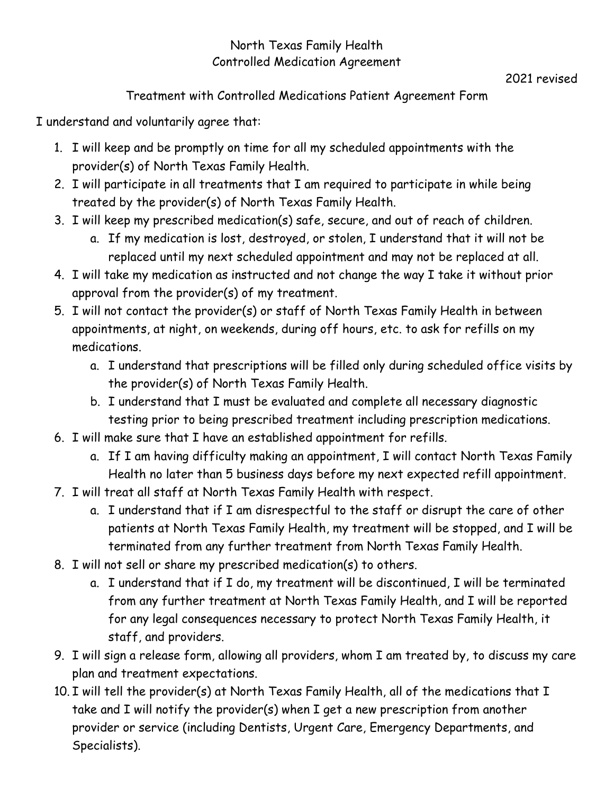# North Texas Family Health Controlled Medication Agreement

# 2021 revised

# Treatment with Controlled Medications Patient Agreement Form

I understand and voluntarily agree that:

- 1. I will keep and be promptly on time for all my scheduled appointments with the provider(s) of North Texas Family Health.
- 2. I will participate in all treatments that I am required to participate in while being treated by the provider(s) of North Texas Family Health.
- 3. I will keep my prescribed medication(s) safe, secure, and out of reach of children.
	- a. If my medication is lost, destroyed, or stolen, I understand that it will not be replaced until my next scheduled appointment and may not be replaced at all.
- 4. I will take my medication as instructed and not change the way I take it without prior approval from the provider(s) of my treatment.
- 5. I will not contact the provider(s) or staff of North Texas Family Health in between appointments, at night, on weekends, during off hours, etc. to ask for refills on my medications.
	- a. I understand that prescriptions will be filled only during scheduled office visits by the provider(s) of North Texas Family Health.
	- b. I understand that I must be evaluated and complete all necessary diagnostic testing prior to being prescribed treatment including prescription medications.
- 6. I will make sure that I have an established appointment for refills.
	- a. If I am having difficulty making an appointment, I will contact North Texas Family Health no later than 5 business days before my next expected refill appointment.
- 7. I will treat all staff at North Texas Family Health with respect.
	- a. I understand that if I am disrespectful to the staff or disrupt the care of other patients at North Texas Family Health, my treatment will be stopped, and I will be terminated from any further treatment from North Texas Family Health.
- 8. I will not sell or share my prescribed medication(s) to others.
	- a. I understand that if I do, my treatment will be discontinued, I will be terminated from any further treatment at North Texas Family Health, and I will be reported for any legal consequences necessary to protect North Texas Family Health, it staff, and providers.
- 9. I will sign a release form, allowing all providers, whom I am treated by, to discuss my care plan and treatment expectations.
- 10. I will tell the provider(s) at North Texas Family Health, all of the medications that I take and I will notify the provider(s) when I get a new prescription from another provider or service (including Dentists, Urgent Care, Emergency Departments, and Specialists).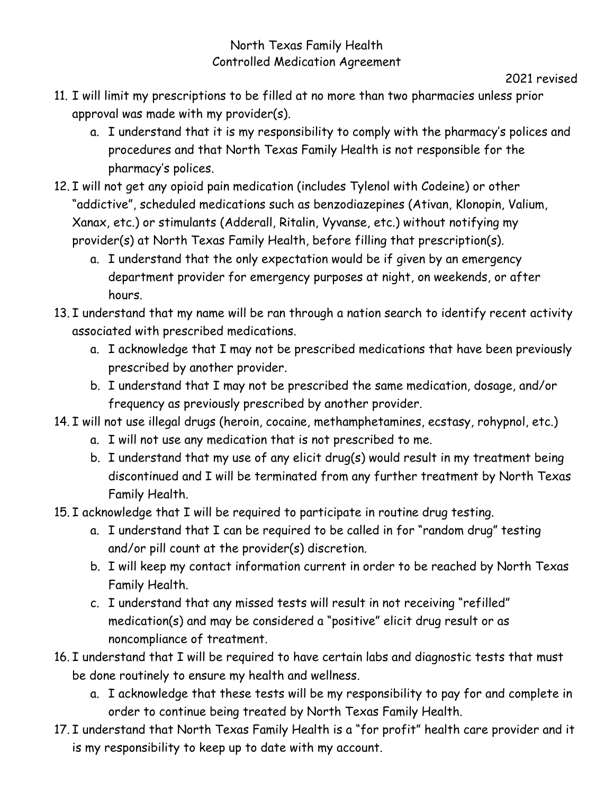# North Texas Family Health Controlled Medication Agreement

#### 2021 revised

- 11. I will limit my prescriptions to be filled at no more than two pharmacies unless prior approval was made with my provider(s).
	- a. I understand that it is my responsibility to comply with the pharmacy's polices and procedures and that North Texas Family Health is not responsible for the pharmacy's polices.
- 12. I will not get any opioid pain medication (includes Tylenol with Codeine) or other "addictive", scheduled medications such as benzodiazepines (Ativan, Klonopin, Valium, Xanax, etc.) or stimulants (Adderall, Ritalin, Vyvanse, etc.) without notifying my provider(s) at North Texas Family Health, before filling that prescription(s).
	- a. I understand that the only expectation would be if given by an emergency department provider for emergency purposes at night, on weekends, or after hours.
- 13. I understand that my name will be ran through a nation search to identify recent activity associated with prescribed medications.
	- a. I acknowledge that I may not be prescribed medications that have been previously prescribed by another provider.
	- b. I understand that I may not be prescribed the same medication, dosage, and/or frequency as previously prescribed by another provider.
- 14. I will not use illegal drugs (heroin, cocaine, methamphetamines, ecstasy, rohypnol, etc.)
	- a. I will not use any medication that is not prescribed to me.
	- b. I understand that my use of any elicit drug(s) would result in my treatment being discontinued and I will be terminated from any further treatment by North Texas Family Health.
- 15. I acknowledge that I will be required to participate in routine drug testing.
	- a. I understand that I can be required to be called in for "random drug" testing and/or pill count at the provider(s) discretion.
	- b. I will keep my contact information current in order to be reached by North Texas Family Health.
	- c. I understand that any missed tests will result in not receiving "refilled" medication(s) and may be considered a "positive" elicit drug result or as noncompliance of treatment.
- 16. I understand that I will be required to have certain labs and diagnostic tests that must be done routinely to ensure my health and wellness.
	- a. I acknowledge that these tests will be my responsibility to pay for and complete in order to continue being treated by North Texas Family Health.
- 17. I understand that North Texas Family Health is a "for profit" health care provider and it is my responsibility to keep up to date with my account.